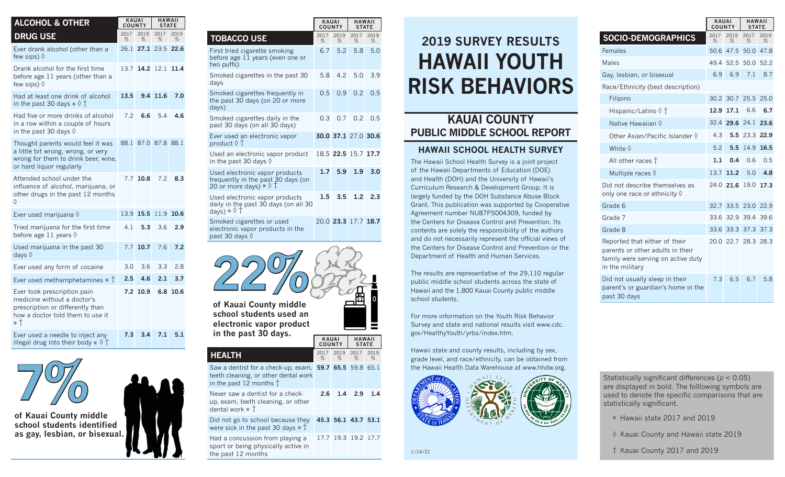| <b>ALCOHOL &amp; OTHER</b>                                                                                                                 | <b>KAUAI</b><br><b>COUNTY</b> |            | <b>HAWAII</b><br><b>STATE</b> |           |  |
|--------------------------------------------------------------------------------------------------------------------------------------------|-------------------------------|------------|-------------------------------|-----------|--|
| <b>DRUG USE</b>                                                                                                                            | 2017<br>%                     | 2019<br>%  | 2017<br>%                     | 2019<br>% |  |
| Ever drank alcohol (other than a<br>few sips) $\Diamond$                                                                                   | 26.1                          | 27.1       | 23.5                          | 22.6      |  |
| Drank alcohol for the first time<br>before age 11 years (other than a<br>few sips) $\Diamond$                                              | 13.7                          | 14.2       | 12.1                          | 11.4      |  |
| Had at least one drink of alcohol<br>in the past 30 days $*\Diamond \dagger$                                                               | 13.5                          |            | 9.4 11.6                      | 7.0       |  |
| Had five or more drinks of alcohol<br>in a row within a couple of hours<br>in the past 30 days $\Diamond$                                  | 7.2                           | 6.6        | 5.4                           | 4.6       |  |
| Thought parents would feel it was<br>a little bit wrong, wrong, or very<br>wrong for them to drink beer, wine,<br>or hard liquor regularly | 88.1                          |            | 87.0 87.8 88.1                |           |  |
| Attended school under the<br>influence of alcohol, marijuana, or<br>other drugs in the past 12 months<br>♦                                 |                               | $7.7$ 10.8 | 7.2                           | 8.3       |  |
| Ever used marijuana $\Diamond$                                                                                                             | 13.9                          | 15.5       | 11.9                          | 10.6      |  |
| Tried marijuana for the first time<br>before age 11 years $\Diamond$                                                                       | 4.1                           | 5.3        | 3.6                           | 2.9       |  |
| Used marijuana in the past 30<br>days $\Diamond$                                                                                           | 7.7                           | 10.7       | 7.6                           | 7.2       |  |
| Ever used any form of cocaine                                                                                                              | 3.0                           | 3.6        | 3.3                           | 2.8       |  |
| Ever used methamphetamines $*$ $\dagger$                                                                                                   | 2.5                           | 4.6        | 2.1                           | 3.7       |  |
| Ever took prescription pain<br>medicine without a doctor's<br>prescription or differently than<br>how a doctor told them to use it<br>* †  | 7.2                           | 10.9       | 6.8                           | 10.6      |  |
| Ever used a needle to inject any<br>illegal drug into their body $*$ $\Diamond$ $\dag$                                                     | 7.3                           | 3.4        | 7.1                           | 5.1       |  |



**of Kauai County middle**  school students identifie as gay, lesbian, or bisex

|            | $7.3$ $3.4$ $7.1$ | 5 |
|------------|-------------------|---|
|            |                   |   |
|            |                   |   |
| ed<br>ual. |                   |   |

**KAI** 

|                                                                                                                | <b>KAUAI</b><br><b>COUNTY</b> |           | <b>HAWAII</b><br><b>STATE</b> |           |
|----------------------------------------------------------------------------------------------------------------|-------------------------------|-----------|-------------------------------|-----------|
| <b>TOBACCO USE</b>                                                                                             | 2017<br>%                     | 2019<br>% | 2017<br>%                     | 2019<br>% |
| First tried cigarette smoking<br>before age 11 years (even one or<br>two puffs)                                | 6.7                           | 5.2       | 5.8                           | 5.0       |
| Smoked cigarettes in the past 30<br>days                                                                       | 5.8                           | 4.2       | 5.0                           | 3.9       |
| Smoked cigarettes frequently in<br>the past 30 days (on 20 or more<br>days)                                    | 0.5                           | 0.9       | 0.2                           | 0.5       |
| Smoked cigarettes daily in the<br>past 30 days (on all 30 days)                                                | 0.3                           | 0.7       | 0.2                           | 0.5       |
| Ever used an electronic vapor<br>product $\Diamond$ $\dag$                                                     |                               |           | 30.0 37.1 27.0 30.6           |           |
| Used an electronic vapor product<br>in the past 30 days $\Diamond$                                             |                               |           | 18.5 22.5 15.7 17.7           |           |
| Used electronic vapor products<br>frequently in the past 30 days (on<br>20 or more days) $*$ $\Diamond$ T      | 1.7                           | 5.9       | 1.9                           | 3.0       |
| Used electronic vapor products<br>daily in the past 30 days (on all 30<br>days) $*$ $\Diamond$ $\dag$          | $1.5\,$                       | 3.5       | 1.2                           | 2.3       |
| Smoked cigarettes or used<br>electronic vapor products in the<br>past 30 days $\Diamond$                       |                               |           | 20.0 23.3 17.7 18.7           |           |
| of Kauai County middle<br>school students used an<br>electronic vapor product                                  |                               |           |                               |           |
| in the past 30 days.                                                                                           | <b>COUNTY</b>                 | KAUAI     | <b>HAWAII</b><br><b>STATE</b> |           |
| <b>HEALTH</b>                                                                                                  | 2017<br>%                     | 2019<br>% | 2017<br>%                     | 2019<br>% |
| Saw a dentist for a check-up, exam,<br>teeth cleaning, or other dental work<br>in the past 12 months $\dagger$ | 59.7                          | 65.5      | 59.8                          | 65.1      |

Never saw a dentist for a checkup, exam, teeth cleaning, or other dental work \* † **2.6 1.4 2.9 1.4**

Did not go to school because they **45.3 56.1 43.7 53.1** were sick in the past 30 days  $*$   $\dagger$ 

Had a concussion from playing a 17.7 19.3 19.2 17.7 sport or being physically active in the past 12 months

## **HAWAII YOUTH RISK BEHAVIORS 2019 SURVEY RESULTS**

## **KAUAI COUNTY PUBLIC MIDDLE SCHOOL REPORT**

## **HAWAII SCHOOL HEALTH SURVEY**

The Hawaii School Health Survey is a joint project of the Hawaii Departments of Education (DOE) and Health (DOH) and the University of Hawaii's Curriculum Research & Development Group. It is largely funded by the DOH Substance Abuse Block Grant. This publication was supported by Cooperative Agreement number NU87PS004309, funded by the Centers for Disease Control and Prevention. Its contents are solely the responsibility of the authors and do not necessarily represent the official views of the Centers for Disease Control and Prevention or the Department of Health and Human Services.

The results are representative of the 29,110 regular public middle school students across the state of Hawaii and the 1,800 Kauai County public middle school students.

For more information on the Youth Risk Behavior Survey and state and national results visit www.cdc. gov/HealthyYouth/yrbs/index.htm.

Hawaii state and county results, including by sex, grade level, and race/ethnicity, can be obtained from the Hawaii Health Data Warehouse at www.hhdw.org.



|                                                                                                                            | <b>COUNTY</b> |                     | <b>STATE</b>  |           |
|----------------------------------------------------------------------------------------------------------------------------|---------------|---------------------|---------------|-----------|
| <b>SOCIO-DEMOGRAPHICS</b>                                                                                                  | 2017<br>%     | 2019<br>%           | 2017<br>$\%$  | 2019<br>% |
| Females                                                                                                                    |               | 50.6 47.5           |               | 50.0 47.8 |
| <b>Males</b>                                                                                                               | 49.4          | 52.5                | 50.0          | 52.2      |
| Gay, lesbian, or bisexual                                                                                                  | 6.9           | 6.9                 | 7.1           | 8.7       |
| Race/Ethnicity (best description)                                                                                          |               |                     |               |           |
| Filipino                                                                                                                   | 30.2          |                     | 30.7 25.5     | 25.0      |
| Hispanic/Latino ◊ †                                                                                                        | 12.9          | 17.1                | 6.6           | 6.7       |
| Native Hawaiian $\Diamond$                                                                                                 | 32.4          |                     | 29.6 24.1     | 23.6      |
| Other Asian/Pacific Islander 0                                                                                             | 4.3           |                     | 5.5 23.3 22.9 |           |
| White $\diamond$                                                                                                           | 5.2           | 5.5                 | 14.9          | 16.5      |
| All other races T                                                                                                          | 1.1           | 0.4                 | 0.6           | 0.5       |
| Multiple races $\Diamond$                                                                                                  | 13.7          | 11.2                | 5.0           | 4.8       |
| Did not describe themselves as<br>only one race or ethnicity $\Diamond$                                                    |               | 24.0 21.6           | 19.0          | 17.3      |
| Grade 6                                                                                                                    | 32.7          | 33.5                | 23.0          | 22.9      |
| Grade 7                                                                                                                    |               | 33.6 32.9 39.4 39.6 |               |           |
| Grade 8                                                                                                                    |               | 33.6 33.3 37.3 37.3 |               |           |
| Reported that either of their<br>parents or other adults in their<br>family were serving on active duty<br>in the military |               | 20.0 22.7 28.3 28.3 |               |           |
| Did not usually sleep in their<br>parent's or guardian's home in the<br>past 30 days                                       | 7.3           | 6.5                 | 6.7           | 5.8       |

**KAUAI HAWAII**

Statistically significant differences (*p* < 0.05) are displayed in bold. The folllowing symbols are used to denote the specific comparisons that are statistically significant.

- \* Hawaii state 2017 and 2019
- ◊ Kauai County and Hawaii state 2019

† Kauai County 2017 and 2019